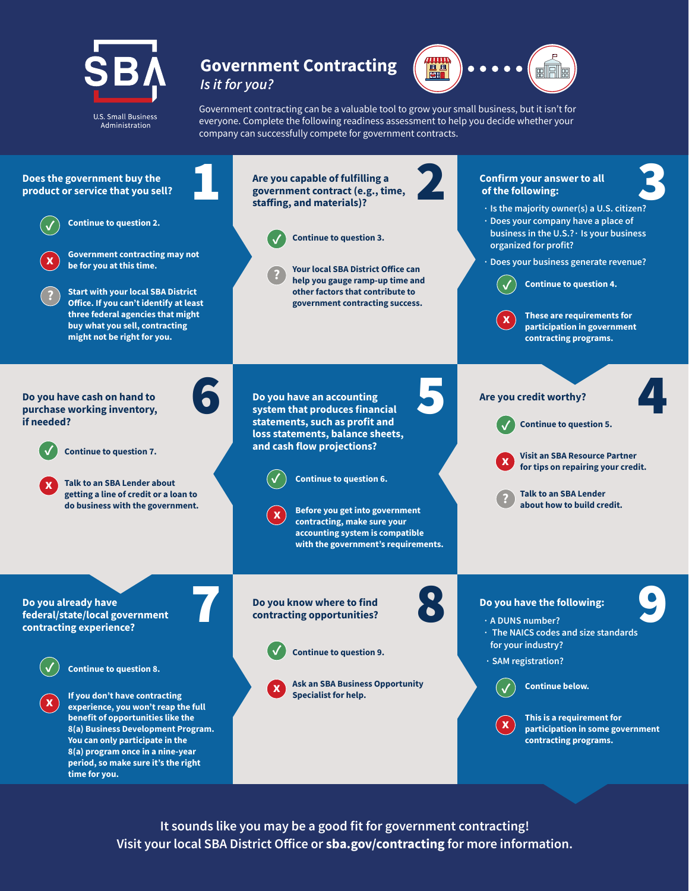

#### **Government Contracting** *Is it for you?*



Government contracting can be a valuable tool to grow your small business, but it isn't for everyone. Complete the following readiness assessment to help you decide whether your company can successfully compete for government contracts.



**It sounds like you may be a good fit for government contracting! Visit your local SBA District Office or sba.gov/contracting for more information.**